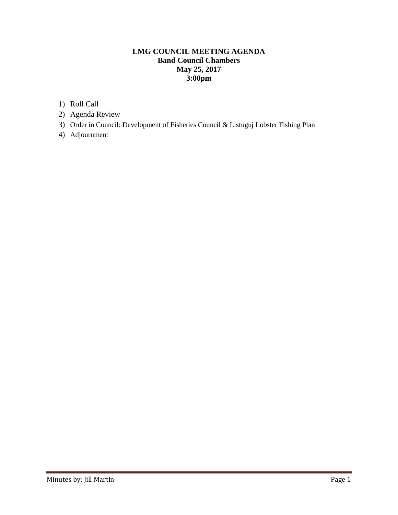## **LMG COUNCIL MEETING AGENDA Band Council Chambers May 25, 2017 3:00pm**

- 1) Roll Call
- 2) Agenda Review
- 3) Order in Council: Development of Fisheries Council & Listuguj Lobster Fishing Plan
- 4) Adjournment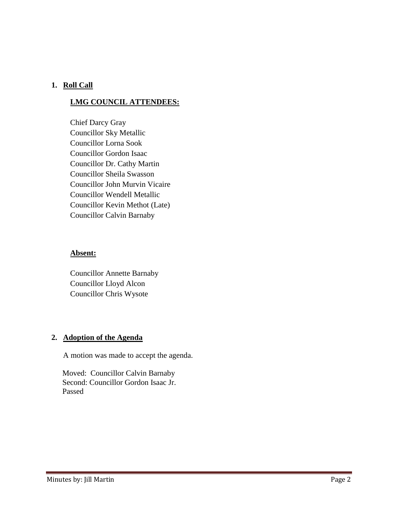### **1. Roll Call**

# **LMG COUNCIL ATTENDEES:**

Chief Darcy Gray Councillor Sky Metallic Councillor Lorna Sook Councillor Gordon Isaac Councillor Dr. Cathy Martin Councillor Sheila Swasson Councillor John Murvin Vicaire Councillor Wendell Metallic Councillor Kevin Methot (Late) Councillor Calvin Barnaby

#### **Absent:**

Councillor Annette Barnaby Councillor Lloyd Alcon Councillor Chris Wysote

## **2. Adoption of the Agenda**

A motion was made to accept the agenda.

 Moved: Councillor Calvin Barnaby Second: Councillor Gordon Isaac Jr. Passed